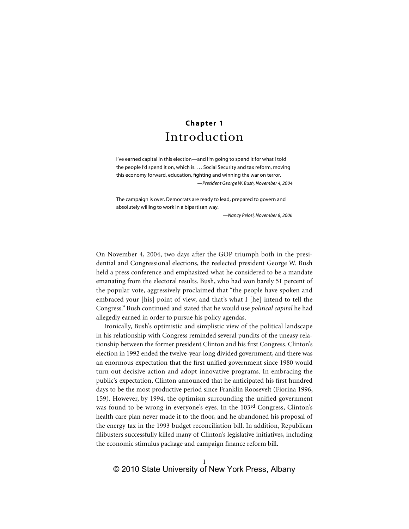# **Chapter 1** Introduction

I've earned capital in this election—and I'm going to spend it for what I told the people I'd spend it on, which is. . . . Social Security and tax reform, moving this economy forward, education, fighting and winning the war on terror. —President George W. Bush, November 4, 2004

The campaign is over. Democrats are ready to lead, prepared to govern and absolutely willing to work in a bipartisan way.

—Nancy Pelosi, November 8, 2006

On November 4, 2004, two days after the GOP triumph both in the presidential and Congressional elections, the reelected president George W. Bush held a press conference and emphasized what he considered to be a mandate emanating from the electoral results. Bush, who had won barely 51 percent of the popular vote, aggressively proclaimed that "the people have spoken and embraced your [his] point of view, and that's what I [he] intend to tell the Congress." Bush continued and stated that he would use *political capital* he had allegedly earned in order to pursue his policy agendas.

Ironically, Bush's optimistic and simplistic view of the political landscape in his relationship with Congress reminded several pundits of the uneasy relationship between the former president Clinton and his first Congress. Clinton's election in 1992 ended the twelve-year-long divided government, and there was an enormous expectation that the first unified government since 1980 would turn out decisive action and adopt innovative programs. In embracing the public's expectation, Clinton announced that he anticipated his first hundred days to be the most productive period since Franklin Roosevelt (Fiorina 1996, 159). However, by 1994, the optimism surrounding the unified government was found to be wrong in everyone's eyes. In the 103rd Congress, Clinton's health care plan never made it to the floor, and he abandoned his proposal of the energy tax in the 1993 budget reconciliation bill. In addition, Republican filibusters successfully killed many of Clinton's legislative initiatives, including the economic stimulus package and campaign finance reform bill.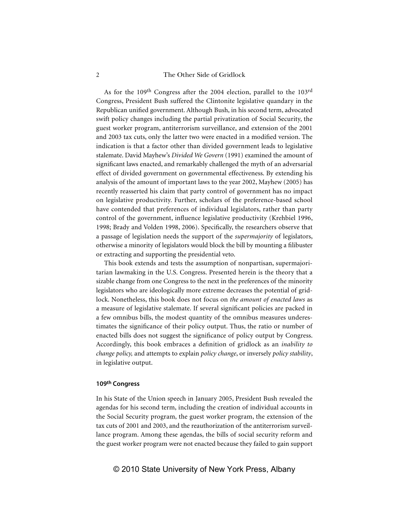As for the 109<sup>th</sup> Congress after the 2004 election, parallel to the 103<sup>rd</sup> Congress, President Bush suffered the Clintonite legislative quandary in the Republican unified government. Although Bush, in his second term, advocated swift policy changes including the partial privatization of Social Security, the guest worker program, antiterrorism surveillance, and extension of the 2001 and 2003 tax cuts, only the latter two were enacted in a modified version. The indication is that a factor other than divided government leads to legislative stalemate. David Mayhew's *Divided We Govern* (1991) examined the amount of significant laws enacted, and remarkably challenged the myth of an adversarial effect of divided government on governmental effectiveness. By extending his analysis of the amount of important laws to the year 2002, Mayhew (2005) has recently reasserted his claim that party control of government has no impact on legislative productivity. Further, scholars of the preference-based school have contended that preferences of individual legislators, rather than party control of the government, influence legislative productivity (Krehbiel 1996, 1998; Brady and Volden 1998, 2006). Specifically, the researchers observe that a passage of legislation needs the support of the *supermajority* of legislators, otherwise a minority of legislators would block the bill by mounting a filibuster or extracting and supporting the presidential veto.

This book extends and tests the assumption of nonpartisan, supermajoritarian lawmaking in the U.S. Congress. Presented herein is the theory that a sizable change from one Congress to the next in the preferences of the minority legislators who are ideologically more extreme decreases the potential of gridlock. Nonetheless, this book does not focus on *the amount of enacted laws* as a measure of legislative stalemate. If several significant policies are packed in a few omnibus bills, the modest quantity of the omnibus measures underestimates the significance of their policy output. Thus, the ratio or number of enacted bills does not suggest the significance of policy output by Congress. Accordingly, this book embraces a definition of gridlock as an *inability to change policy,* and attempts to explain *policy change*, or inversely *policy stability*, in legislative output.

#### **109th Congress**

In his State of the Union speech in January 2005, President Bush revealed the agendas for his second term, including the creation of individual accounts in the Social Security program, the guest worker program, the extension of the tax cuts of 2001 and 2003, and the reauthorization of the antiterrorism surveillance program. Among these agendas, the bills of social security reform and the guest worker program were not enacted because they failed to gain support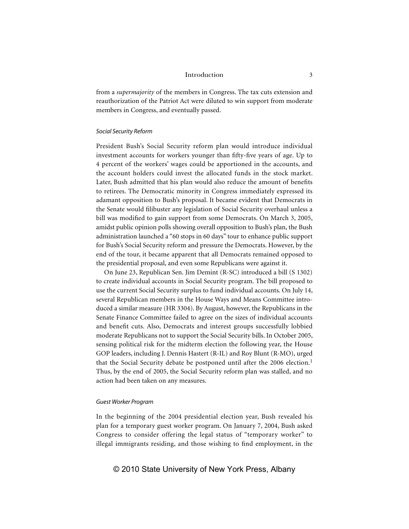from a *supermajority* of the members in Congress. The tax cuts extension and reauthorization of the Patriot Act were diluted to win support from moderate members in Congress, and eventually passed.

#### Social Security Reform

President Bush's Social Security reform plan would introduce individual investment accounts for workers younger than fifty-five years of age. Up to 4 percent of the workers' wages could be apportioned in the accounts, and the account holders could invest the allocated funds in the stock market. Later, Bush admitted that his plan would also reduce the amount of benefits to retirees. The Democratic minority in Congress immediately expressed its adamant opposition to Bush's proposal. It became evident that Democrats in the Senate would filibuster any legislation of Social Security overhaul unless a bill was modified to gain support from some Democrats. On March 3, 2005, amidst public opinion polls showing overall opposition to Bush's plan, the Bush administration launched a "60 stops in 60 days" tour to enhance public support for Bush's Social Security reform and pressure the Democrats. However, by the end of the tour, it became apparent that all Democrats remained opposed to the presidential proposal, and even some Republicans were against it.

On June 23, Republican Sen. Jim Demint (R-SC) introduced a bill (S 1302) to create individual accounts in Social Security program. The bill proposed to use the current Social Security surplus to fund individual accounts. On July 14, several Republican members in the House Ways and Means Committee introduced a similar measure (HR 3304). By August, however, the Republicans in the Senate Finance Committee failed to agree on the sizes of individual accounts and benefit cuts. Also, Democrats and interest groups successfully lobbied moderate Republicans not to support the Social Security bills. In October 2005, sensing political risk for the midterm election the following year, the House GOP leaders, including J. Dennis Hastert (R-IL) and Roy Blunt (R-MO), urged that the Social Security debate be postponed until after the 2006 election.<sup>1</sup> Thus, by the end of 2005, the Social Security reform plan was stalled, and no action had been taken on any measures.

#### Guest Worker Program

In the beginning of the 2004 presidential election year, Bush revealed his plan for a temporary guest worker program. On January 7, 2004, Bush asked Congress to consider offering the legal status of "temporary worker" to illegal immigrants residing, and those wishing to find employment, in the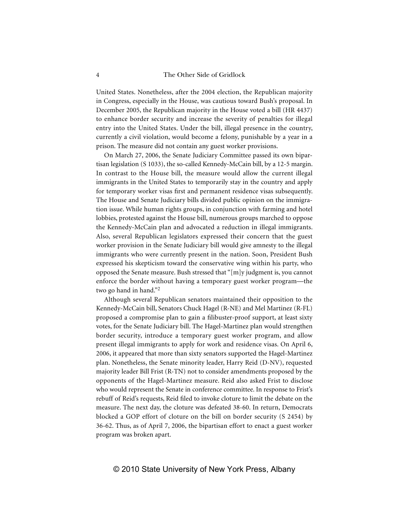United States. Nonetheless, after the 2004 election, the Republican majority in Congress, especially in the House, was cautious toward Bush's proposal. In December 2005, the Republican majority in the House voted a bill (HR 4437) to enhance border security and increase the severity of penalties for illegal entry into the United States. Under the bill, illegal presence in the country, currently a civil violation, would become a felony, punishable by a year in a prison. The measure did not contain any guest worker provisions.

On March 27, 2006, the Senate Judiciary Committee passed its own bipartisan legislation (S 1033), the so-called Kennedy-McCain bill, by a 12-5 margin. In contrast to the House bill, the measure would allow the current illegal immigrants in the United States to temporarily stay in the country and apply for temporary worker visas first and permanent residence visas subsequently. The House and Senate Judiciary bills divided public opinion on the immigration issue. While human rights groups, in conjunction with farming and hotel lobbies, protested against the House bill, numerous groups marched to oppose the Kennedy-McCain plan and advocated a reduction in illegal immigrants. Also, several Republican legislators expressed their concern that the guest worker provision in the Senate Judiciary bill would give amnesty to the illegal immigrants who were currently present in the nation. Soon, President Bush expressed his skepticism toward the conservative wing within his party, who opposed the Senate measure. Bush stressed that " $[m]y$  judgment is, you cannot enforce the border without having a temporary guest worker program—the two go hand in hand."<sup>2</sup>

Although several Republican senators maintained their opposition to the Kennedy-McCain bill, Senators Chuck Hagel (R-NE) and Mel Martinez (R-FL) proposed a compromise plan to gain a filibuster-proof support, at least sixty votes, for the Senate Judiciary bill. The Hagel-Martinez plan would strengthen border security, introduce a temporary guest worker program, and allow present illegal immigrants to apply for work and residence visas. On April 6, 2006, it appeared that more than sixty senators supported the Hagel-Martinez plan. Nonetheless, the Senate minority leader, Harry Reid (D-NV), requested majority leader Bill Frist (R-TN) not to consider amendments proposed by the opponents of the Hagel-Martinez measure. Reid also asked Frist to disclose who would represent the Senate in conference committee. In response to Frist's rebuff of Reid's requests, Reid filed to invoke cloture to limit the debate on the measure. The next day, the cloture was defeated 38-60. In return, Democrats blocked a GOP effort of cloture on the bill on border security (S 2454) by 36-62. Thus, as of April 7, 2006, the bipartisan effort to enact a guest worker program was broken apart.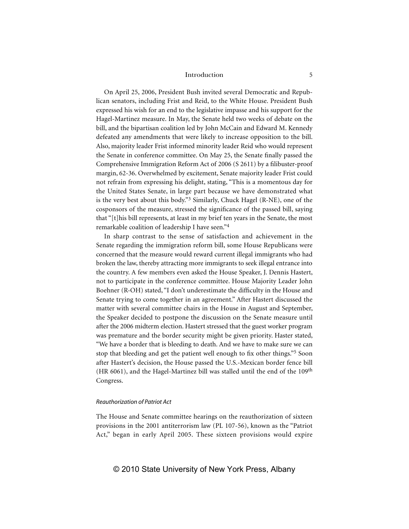On April 25, 2006, President Bush invited several Democratic and Republican senators, including Frist and Reid, to the White House. President Bush expressed his wish for an end to the legislative impasse and his support for the Hagel-Martinez measure. In May, the Senate held two weeks of debate on the bill, and the bipartisan coalition led by John McCain and Edward M. Kennedy defeated any amendments that were likely to increase opposition to the bill. Also, majority leader Frist informed minority leader Reid who would represent the Senate in conference committee. On May 25, the Senate finally passed the Comprehensive Immigration Reform Act of 2006 (S 2611) by a filibuster-proof margin, 62-36. Overwhelmed by excitement, Senate majority leader Frist could not refrain from expressing his delight, stating, "This is a momentous day for the United States Senate, in large part because we have demonstrated what is the very best about this body."3 Similarly, Chuck Hagel (R-NE), one of the cosponsors of the measure, stressed the significance of the passed bill, saying that "[t]his bill represents, at least in my brief ten years in the Senate, the most remarkable coalition of leadership I have seen."<sup>4</sup>

In sharp contrast to the sense of satisfaction and achievement in the Senate regarding the immigration reform bill, some House Republicans were concerned that the measure would reward current illegal immigrants who had broken the law, thereby attracting more immigrants to seek illegal entrance into the country. A few members even asked the House Speaker, J. Dennis Hastert, not to participate in the conference committee. House Majority Leader John Boehner (R-OH) stated, "I don't underestimate the difficulty in the House and Senate trying to come together in an agreement." After Hastert discussed the matter with several committee chairs in the House in August and September, the Speaker decided to postpone the discussion on the Senate measure until after the 2006 midterm election. Hastert stressed that the guest worker program was premature and the border security might be given priority. Haster stated, "We have a border that is bleeding to death. And we have to make sure we can stop that bleeding and get the patient well enough to fix other things.<sup>5</sup> Soon after Hastert's decision, the House passed the U.S.-Mexican border fence bill (HR 6061), and the Hagel-Martinez bill was stalled until the end of the 109<sup>th</sup> Congress.

#### Reauthorization of Patriot Act

The House and Senate committee hearings on the reauthorization of sixteen provisions in the 2001 antiterrorism law (PL 107-56), known as the "Patriot Act," began in early April 2005. These sixteen provisions would expire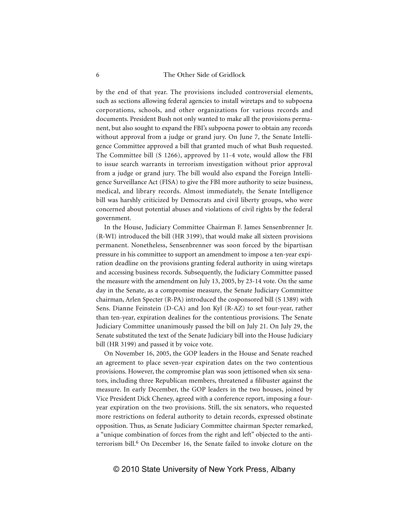by the end of that year. The provisions included controversial elements, such as sections allowing federal agencies to install wiretaps and to subpoena corporations, schools, and other organizations for various records and documents. President Bush not only wanted to make all the provisions permanent, but also sought to expand the FBI's subpoena power to obtain any records without approval from a judge or grand jury. On June 7, the Senate Intelligence Committee approved a bill that granted much of what Bush requested. The Committee bill (S 1266), approved by 11-4 vote, would allow the FBI to issue search warrants in terrorism investigation without prior approval from a judge or grand jury. The bill would also expand the Foreign Intelligence Surveillance Act (FISA) to give the FBI more authority to seize business, medical, and library records. Almost immediately, the Senate Intelligence bill was harshly criticized by Democrats and civil liberty groups, who were concerned about potential abuses and violations of civil rights by the federal government.

In the House, Judiciary Committee Chairman F. James Sensenbrenner Jr. (R-WI) introduced the bill (HR 3199), that would make all sixteen provisions permanent. Nonetheless, Sensenbrenner was soon forced by the bipartisan pressure in his committee to support an amendment to impose a ten-year expiration deadline on the provisions granting federal authority in using wiretaps and accessing business records. Subsequently, the Judiciary Committee passed the measure with the amendment on July 13, 2005, by 23-14 vote. On the same day in the Senate, as a compromise measure, the Senate Judiciary Committee chairman, Arlen Specter (R-PA) introduced the cosponsored bill (S 1389) with Sens. Dianne Feinstein (D-CA) and Jon Kyl (R-AZ) to set four-year, rather than ten-year, expiration dealines for the contentious provisions. The Senate Judiciary Committee unanimously passed the bill on July 21. On July 29, the Senate substituted the text of the Senate Judiciary bill into the House Judiciary bill (HR 3199) and passed it by voice vote.

On November 16, 2005, the GOP leaders in the House and Senate reached an agreement to place seven-year expiration dates on the two contentious provisions. However, the compromise plan was soon jettisoned when six senators, including three Republican members, threatened a filibuster against the measure. In early December, the GOP leaders in the two houses, joined by Vice President Dick Cheney, agreed with a conference report, imposing a fouryear expiration on the two provisions. Still, the six senators, who requested more restrictions on federal authority to detain records, expressed obstinate opposition. Thus, as Senate Judiciary Committee chairman Specter remarked, a "unique combination of forces from the right and left" objected to the antiterrorism bill.<sup>6</sup> On December 16, the Senate failed to invoke cloture on the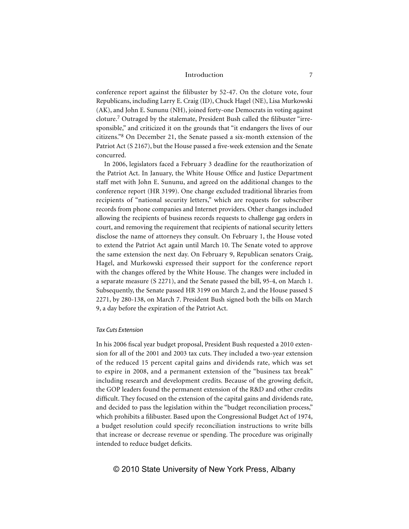conference report against the filibuster by 52-47. On the cloture vote, four Republicans, including Larry E. Craig (ID), Chuck Hagel (NE), Lisa Murkowski (AK), and John E. Sununu (NH), joined forty-one Democrats in voting against cloture.<sup>7</sup> Outraged by the stalemate, President Bush called the filibuster "irresponsible," and criticized it on the grounds that "it endangers the lives of our citizens."8 On December 21, the Senate passed a six-month extension of the Patriot Act (S 2167), but the House passed a five-week extension and the Senate concurred.

In 2006, legislators faced a February 3 deadline for the reauthorization of the Patriot Act. In January, the White House Office and Justice Department staff met with John E. Sununu, and agreed on the additional changes to the conference report (HR 3199). One change excluded traditional libraries from recipients of "national security letters," which are requests for subscriber records from phone companies and Internet providers. Other changes included allowing the recipients of business records requests to challenge gag orders in court, and removing the requirement that recipients of national security letters disclose the name of attorneys they consult. On February 1, the House voted to extend the Patriot Act again until March 10. The Senate voted to approve the same extension the next day. On February 9, Republican senators Craig, Hagel, and Murkowski expressed their support for the conference report with the changes offered by the White House. The changes were included in a separate measure (S 2271), and the Senate passed the bill, 95-4, on March 1. Subsequently, the Senate passed HR 3199 on March 2, and the House passed S 2271, by 280-138, on March 7. President Bush signed both the bills on March 9, a day before the expiration of the Patriot Act.

#### Tax Cuts Extension

In his 2006 fiscal year budget proposal, President Bush requested a 2010 extension for all of the 2001 and 2003 tax cuts. They included a two-year extension of the reduced 15 percent capital gains and dividends rate, which was set to expire in 2008, and a permanent extension of the "business tax break" including research and development credits. Because of the growing deficit, the GOP leaders found the permanent extension of the R&D and other credits difficult. They focused on the extension of the capital gains and dividends rate, and decided to pass the legislation within the "budget reconciliation process," which prohibits a filibuster. Based upon the Congressional Budget Act of 1974, a budget resolution could specify reconciliation instructions to write bills that increase or decrease revenue or spending. The procedure was originally intended to reduce budget deficits.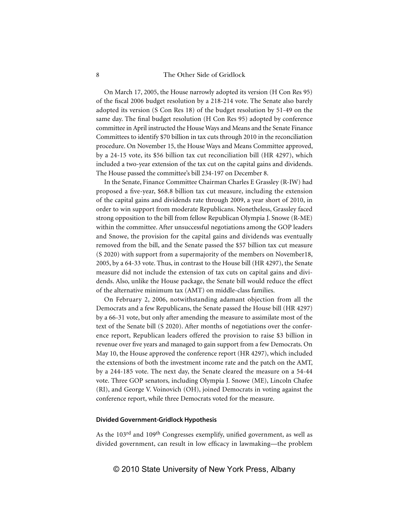On March 17, 2005, the House narrowly adopted its version (H Con Res 95) of the fiscal 2006 budget resolution by a 218-214 vote. The Senate also barely adopted its version (S Con Res 18) of the budget resolution by 51-49 on the same day. The final budget resolution (H Con Res 95) adopted by conference committee in April instructed the House Ways and Means and the Senate Finance Committees to identify \$70 billion in tax cuts through 2010 in the reconciliation procedure. On November 15, the House Ways and Means Committee approved, by a 24-15 vote, its \$56 billion tax cut reconciliation bill (HR 4297), which included a two-year extension of the tax cut on the capital gains and dividends. The House passed the committee's bill 234-197 on December 8.

In the Senate, Finance Committee Chairman Charles E Grassley (R-IW) had proposed a five-year, \$68.8 billion tax cut measure, including the extension of the capital gains and dividends rate through 2009, a year short of 2010, in order to win support from moderate Republicans. Nonetheless, Grassley faced strong opposition to the bill from fellow Republican Olympia J. Snowe (R-ME) within the committee. After unsuccessful negotiations among the GOP leaders and Snowe, the provision for the capital gains and dividends was eventually removed from the bill, and the Senate passed the \$57 billion tax cut measure (S 2020) with support from a supermajority of the members on November18, 2005, by a 64-33 vote. Thus, in contrast to the House bill (HR 4297), the Senate measure did not include the extension of tax cuts on capital gains and dividends. Also, unlike the House package, the Senate bill would reduce the effect of the alternative minimum tax (AMT) on middle-class families.

On February 2, 2006, notwithstanding adamant objection from all the Democrats and a few Republicans, the Senate passed the House bill (HR 4297) by a 66-31 vote, but only after amending the measure to assimilate most of the text of the Senate bill (S 2020). After months of negotiations over the conference report, Republican leaders offered the provision to raise \$3 billion in revenue over five years and managed to gain support from a few Democrats. On May 10, the House approved the conference report (HR 4297), which included the extensions of both the investment income rate and the patch on the AMT, by a 244-185 vote. The next day, the Senate cleared the measure on a 54-44 vote. Three GOP senators, including Olympia J. Snowe (ME), Lincoln Chafee (RI), and George V. Voinovich (OH), joined Democrats in voting against the conference report, while three Democrats voted for the measure.

#### **Divided Government-Gridlock Hypothesis**

As the 103<sup>rd</sup> and 109<sup>th</sup> Congresses exemplify, unified government, as well as divided government, can result in low efficacy in lawmaking—the problem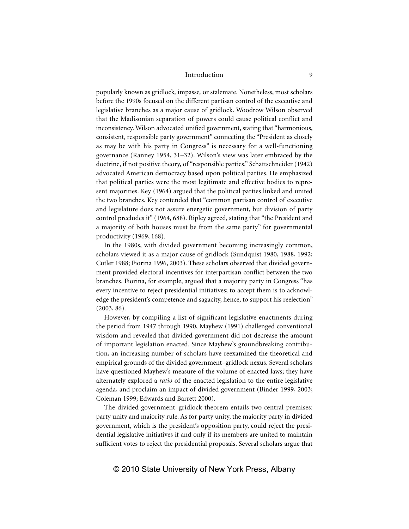popularly known as gridlock*,* impasse*,* or stalemate. Nonetheless, most scholars before the 1990s focused on the different partisan control of the executive and legislative branches as a major cause of gridlock. Woodrow Wilson observed that the Madisonian separation of powers could cause political conflict and inconsistency. Wilson advocated unified government, stating that "harmonious, consistent, responsible party government" connecting the "President as closely as may be with his party in Congress" is necessary for a well-functioning governance (Ranney 1954, 31–32). Wilson's view was later embraced by the doctrine, if not positive theory, of "responsible parties." Schattschneider (1942) advocated American democracy based upon political parties. He emphasized that political parties were the most legitimate and effective bodies to represent majorities. Key (1964) argued that the political parties linked and united the two branches. Key contended that "common partisan control of executive and legislature does not assure energetic government, but division of party control precludes it" (1964, 688). Ripley agreed, stating that "the President and a majority of both houses must be from the same party" for governmental productivity (1969, 168).

In the 1980s, with divided government becoming increasingly common, scholars viewed it as a major cause of gridlock (Sundquist 1980, 1988, 1992; Cutler 1988; Fiorina 1996, 2003). These scholars observed that divided government provided electoral incentives for interpartisan conflict between the two branches. Fiorina, for example, argued that a majority party in Congress "has every incentive to reject presidential initiatives; to accept them is to acknowledge the president's competence and sagacity, hence, to support his reelection" (2003, 86).

However, by compiling a list of significant legislative enactments during the period from 1947 through 1990, Mayhew (1991) challenged conventional wisdom and revealed that divided government did not decrease the amount of important legislation enacted. Since Mayhew's groundbreaking contribution, an increasing number of scholars have reexamined the theoretical and empirical grounds of the divided government–gridlock nexus. Several scholars have questioned Mayhew's measure of the volume of enacted laws; they have alternately explored a *ratio* of the enacted legislation to the entire legislative agenda, and proclaim an impact of divided government (Binder 1999, 2003; Coleman 1999; Edwards and Barrett 2000).

The divided government–gridlock theorem entails two central premises: party unity and majority rule. As for party unity, the majority party in divided government, which is the president's opposition party, could reject the presidential legislative initiatives if and only if its members are united to maintain sufficient votes to reject the presidential proposals. Several scholars argue that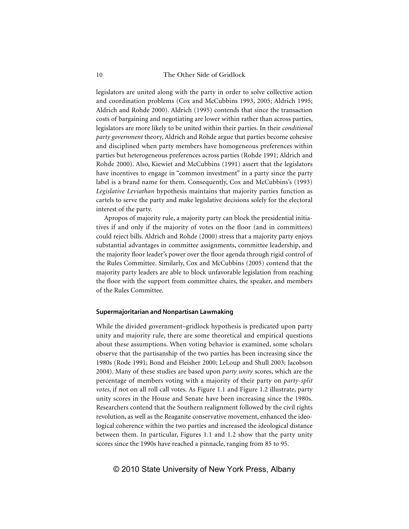legislators are united along with the party in order to solve collective action and coordination problems (Cox and McCubbins 1993, 2005; Aldrich 1995; Aldrich and Rohde 2000). Aldrich (1995) contends that since the transaction costs of bargaining and negotiating are lower within rather than across parties, legislators are more likely to be united within their parties. In their *conditional party government* theory, Aldrich and Rohde argue that parties become cohesive and disciplined when party members have homogeneous preferences within parties but heterogeneous preferences across parties (Rohde 1991; Aldrich and Rohde 2000). Also, Kiewiet and McCubbins (1991) assert that the legislators have incentives to engage in "common investment" in a party since the party label is a brand name for them. Consequently, Cox and McCubbins's (1993) *Legislative Leviathan* hypothesis maintains that majority parties function as cartels to serve the party and make legislative decisions solely for the electoral interest of the party.

Apropos of majority rule, a majority party can block the presidential initiatives if and only if the majority of votes on the floor (and in committees) could reject bills. Aldrich and Rohde (2000) stress that a majority party enjoys substantial advantages in committee assignments, committee leadership, and the majority floor leader's power over the floor agenda through rigid control of the Rules Committee. Similarly, Cox and McCubbins (2005) contend that the majority party leaders are able to block unfavorable legislation from reaching the floor with the support from committee chairs, the speaker, and members of the Rules Committee.

#### **Supermajoritarian and Nonpartisan Lawmaking**

While the divided government–gridlock hypothesis is predicated upon party unity and majority rule, there are some theoretical and empirical questions about these assumptions. When voting behavior is examined, some scholars observe that the partisanship of the two parties has been increasing since the 1980s (Rode 1991; Bond and Fleisher 2000; LeLoup and Shull 2003; Jacobson 2004). Many of these studies are based upon *party unity* scores, which are the percentage of members voting with a majority of their party on *party-split votes*, if not on all roll call votes. As Figure 1.1 and Figure 1.2 illustrate, party unity scores in the House and Senate have been increasing since the 1980s. Researchers contend that the Southern realignment followed by the civil rights revolution, as well as the Reaganite conservative movement, enhanced the ideological coherence within the two parties and increased the ideological distance between them. In particular, Figures 1.1 and 1.2 show that the party unity scores since the 1990s have reached a pinnacle, ranging from 85 to 95.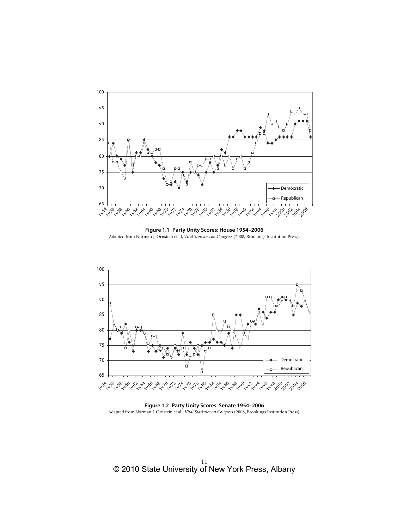

**Figure 1.1 Party Unity Scores: House 1954–2006** Adapted from Norman J. Ornstein et al, *Vital Statistics on Congress* (2008, Brookings Institution Press).



**Figure 1.2 Party Unity Scores: Senate 1954–2006** Adapted from Norman J. Ornstein et al., *Vital Statistics on Congress* (2008, Brookings Institution Press).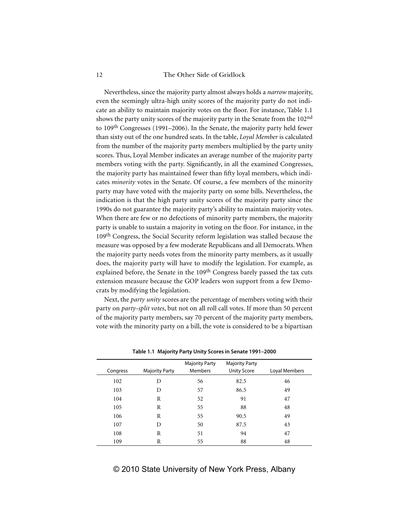#### 12 The Other Side of Gridlock

Nevertheless, since the majority party almost always holds a *narrow* majority, even the seemingly ultra-high unity scores of the majority party do not indicate an ability to maintain majority votes on the floor. For instance, Table 1.1 shows the party unity scores of the majority party in the Senate from the 102<sup>nd</sup> to 109th Congresses (1991–2006). In the Senate, the majority party held fewer than sixty out of the one hundred seats. In the table, *Loyal Member* is calculated from the number of the majority party members multiplied by the party unity scores. Thus, Loyal Member indicates an average number of the majority party members voting with the party. Significantly, in all the examined Congresses, the majority party has maintained fewer than fifty loyal members, which indicates *minority* votes in the Senate. Of course, a few members of the minority party may have voted with the majority party on some bills. Nevertheless, the indication is that the high party unity scores of the majority party since the 1990s do not guarantee the majority party's ability to maintain majority votes. When there are few or no defections of minority party members, the majority party is unable to sustain a majority in voting on the floor. For instance, in the 109th Congress, the Social Security reform legislation was stalled because the measure was opposed by a few moderate Republicans and all Democrats. When the majority party needs votes from the minority party members, as it usually does, the majority party will have to modify the legislation. For example, as explained before, the Senate in the 109<sup>th</sup> Congress barely passed the tax cuts extension measure because the GOP leaders won support from a few Democrats by modifying the legislation.

Next, the *party unity* scores are the percentage of members voting with their party on *party-split votes*, but not on all roll call votes. If more than 50 percent of the majority party members, say 70 percent of the majority party members, vote with the minority party on a bill, the vote is considered to be a bipartisan

| Congress | <b>Majority Party</b> | <b>Majority Party</b><br><b>Members</b> | <b>Majority Party</b><br><b>Unity Score</b> | Loyal Members |
|----------|-----------------------|-----------------------------------------|---------------------------------------------|---------------|
| 102      | D                     | 56                                      | 82.5                                        | 46            |
| 103      | D                     | 57                                      | 86.5                                        | 49            |
| 104      | R                     | 52                                      | 91                                          | 47            |
| 105      | R                     | 55                                      | 88                                          | 48            |
| 106      | R                     | 55                                      | 90.5                                        | 49            |
| 107      | D                     | 50                                      | 87.5                                        | 43            |
| 108      | R                     | 51                                      | 94                                          | 47            |
| 109      | R                     | 55                                      | 88                                          | 48            |

**Table 1.1 Majority Party Unity Scores in Senate 1991–2000**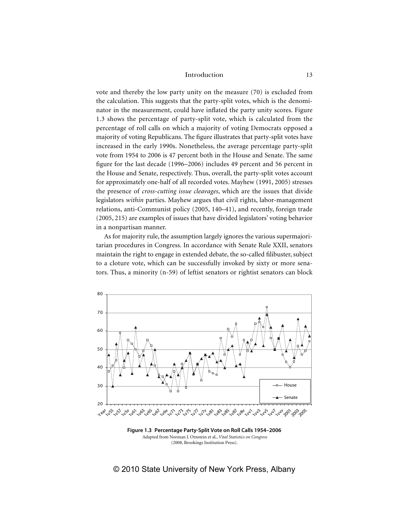vote and thereby the low party unity on the measure (70) is excluded from the calculation. This suggests that the party-split votes, which is the denominator in the measurement, could have inflated the party unity scores. Figure 1.3 shows the percentage of party-split vote, which is calculated from the percentage of roll calls on which a majority of voting Democrats opposed a majority of voting Republicans. The figure illustrates that party-split votes have increased in the early 1990s. Nonetheless, the average percentage party-split vote from 1954 to 2006 is 47 percent both in the House and Senate. The same figure for the last decade (1996–2006) includes 49 percent and 56 percent in the House and Senate, respectively. Thus, overall, the party-split votes account for approximately one-half of all recorded votes. Mayhew (1991, 2005) stresses the presence of *cross-cutting issue cleavages*, which are the issues that divide legislators *within* parties. Mayhew argues that civil rights, labor-management relations, anti-Communist policy (2005, 140–41), and recently, foreign trade (2005, 215) are examples of issues that have divided legislators' voting behavior in a nonpartisan manner.

As for majority rule, the assumption largely ignores the various supermajoritarian procedures in Congress. In accordance with Senate Rule XXII, senators maintain the right to engage in extended debate, the so-called filibuster, subject to a cloture vote, which can be successfully invoked by sixty or more senators. Thus, a minority (n-59) of leftist senators or rightist senators can block



**Figure 1.3 Percentage Party-Split Vote on Roll Calls 1954–2006** Adapted from Norman J. Ornstein et al., *Vital Statistics on Congress*  (2008, Brookings Institution Press).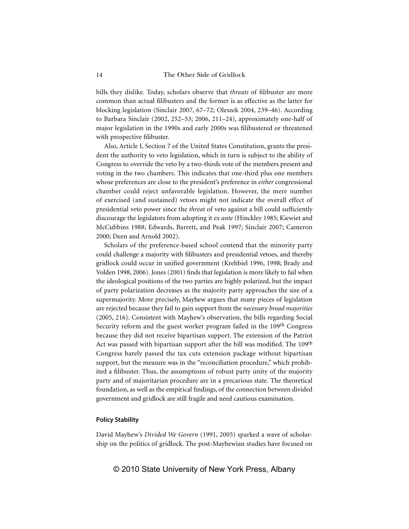bills they dislike. Today, scholars observe that *threats* of filibuster are more common than actual filibusters and the former is as effective as the latter for blocking legislation (Sinclair 2007, 67–72; Oleszek 2004, 239–46). According to Barbara Sinclair (2002, 252–53; 2006, 211–24), approximately one-half of major legislation in the 1990s and early 2000s was filibustered or threatened with prospective filibuster.

Also, Article I, Section 7 of the United States Constitution, grants the president the authority to veto legislation, which in turn is subject to the ability of Congress to override the veto by a two-thirds vote of the members present and voting in the two chambers. This indicates that one-third plus one members whose preferences are close to the president's preference in *either* congressional chamber could reject unfavorable legislation. However, the mere number of exercised (and sustained) vetoes might not indicate the overall effect of presidential veto power since the *threat* of veto against a bill could sufficiently discourage the legislators from adopting it *ex ante* (Hinckley 1985; Kiewiet and McCubbins 1988; Edwards, Barrett, and Peak 1997; Sinclair 2007; Cameron 2000; Deen and Arnold 2002).

Scholars of the preference-based school contend that the minority party could challenge a majority with filibusters and presidential vetoes, and thereby gridlock could occur in unified government (Krehbiel 1996, 1998; Brady and Volden 1998, 2006). Jones (2001) finds that legislation is more likely to fail when the ideological positions of the two parties are highly polarized, but the impact of party polarization decreases as the majority party approaches the size of a supermajority. More precisely, Mayhew argues that many pieces of legislation are rejected because they fail to gain support from the *necessary broad majorities*  (2005, 216). Consistent with Mayhew's observation, the bills regarding Social Security reform and the guest worker program failed in the 109<sup>th</sup> Congress because they did not receive bipartisan support. The extension of the Patriot Act was passed with bipartisan support after the bill was modified. The 109<sup>th</sup> Congress barely passed the tax cuts extension package without bipartisan support, but the measure was in the "reconciliation procedure," which prohibited a filibuster. Thus, the assumptions of robust party unity of the majority party and of majoritarian procedure are in a precarious state. The theoretical foundation, as well as the empirical findings, of the connection between divided government and gridlock are still fragile and need cautious examination.

### **Policy Stability**

David Mayhew's *Divided We Govern* (1991, 2005) sparked a wave of scholarship on the politics of gridlock. The post-Mayhewian studies have focused on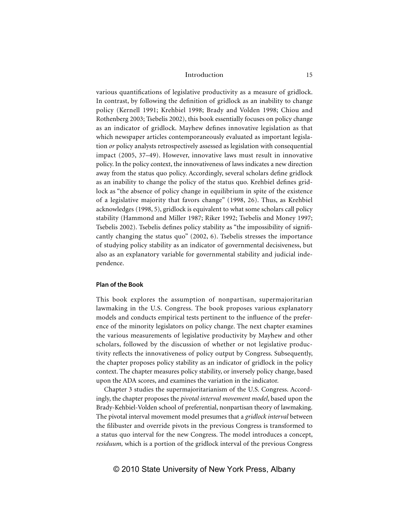various quantifications of legislative productivity as a measure of gridlock. In contrast, by following the definition of gridlock as an inability to change policy (Kernell 1991; Krehbiel 1998; Brady and Volden 1998; Chiou and Rothenberg 2003; Tsebelis 2002), this book essentially focuses on policy change as an indicator of gridlock. Mayhew defines innovative legislation as that which newspaper articles contemporaneously evaluated as important legislation *or* policy analysts retrospectively assessed as legislation with consequential impact (2005, 37–49). However, innovative laws must result in innovative policy. In the policy context, the innovativeness of laws indicates a new direction away from the status quo policy. Accordingly, several scholars define gridlock as an inability to change the policy of the status quo. Krehbiel defines gridlock as "the absence of policy change in equilibrium in spite of the existence of a legislative majority that favors change" (1998, 26). Thus, as Krehbiel acknowledges (1998, 5), gridlock is equivalent to what some scholars call policy stability (Hammond and Miller 1987; Riker 1992; Tsebelis and Money 1997; Tsebelis 2002). Tsebelis defines policy stability as "the impossibility of significantly changing the status quo" (2002, 6). Tsebelis stresses the importance of studying policy stability as an indicator of governmental decisiveness, but also as an explanatory variable for governmental stability and judicial independence.

## **Plan of the Book**

This book explores the assumption of nonpartisan, supermajoritarian lawmaking in the U.S. Congress. The book proposes various explanatory models and conducts empirical tests pertinent to the influence of the preference of the minority legislators on policy change. The next chapter examines the various measurements of legislative productivity by Mayhew and other scholars, followed by the discussion of whether or not legislative productivity reflects the innovativeness of policy output by Congress. Subsequently, the chapter proposes policy stability as an indicator of gridlock in the policy context. The chapter measures policy stability, or inversely policy change, based upon the ADA scores, and examines the variation in the indicator.

Chapter 3 studies the supermajoritarianism of the U.S. Congress. Accordingly, the chapter proposes the *pivotal interval movement model*, based upon the Brady-Kehbiel-Volden school of preferential, nonpartisan theory of lawmaking. The pivotal interval movement model presumes that a *gridlock interval* between the filibuster and override pivots in the previous Congress is transformed to a status quo interval for the new Congress. The model introduces a concept, *residuum,* which is a portion of the gridlock interval of the previous Congress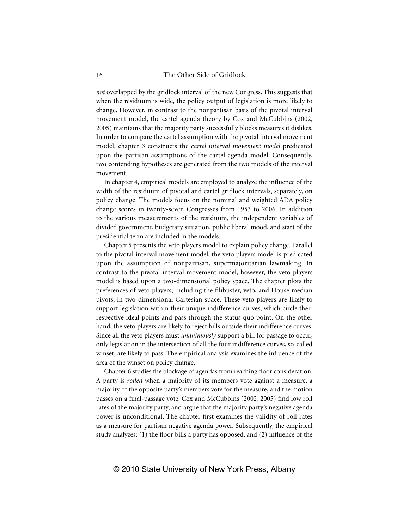*not* overlapped by the gridlock interval of the new Congress. This suggests that when the residuum is wide, the policy output of legislation is more likely to change. However, in contrast to the nonpartisan basis of the pivotal interval movement model, the cartel agenda theory by Cox and McCubbins (2002, 2005) maintains that the majority party successfully blocks measures it dislikes. In order to compare the cartel assumption with the pivotal interval movement model, chapter 3 constructs the *cartel interval movement model* predicated upon the partisan assumptions of the cartel agenda model. Consequently, two contending hypotheses are generated from the two models of the interval movement.

In chapter 4, empirical models are employed to analyze the influence of the width of the residuum of pivotal and cartel gridlock intervals, separately, on policy change. The models focus on the nominal and weighted ADA policy change scores in twenty-seven Congresses from 1953 to 2006. In addition to the various measurements of the residuum, the independent variables of divided government, budgetary situation, public liberal mood, and start of the presidential term are included in the models.

Chapter 5 presents the veto players model to explain policy change. Parallel to the pivotal interval movement model, the veto players model is predicated upon the assumption of nonpartisan, supermajoritarian lawmaking. In contrast to the pivotal interval movement model, however, the veto players model is based upon a two-dimensional policy space. The chapter plots the preferences of veto players, including the filibuster, veto, and House median pivots, in two-dimensional Cartesian space. These veto players are likely to support legislation within their unique indifference curves, which circle their respective ideal points and pass through the status quo point. On the other hand, the veto players are likely to reject bills outside their indifference curves. Since all the veto players must *unanimously* support a bill for passage to occur, only legislation in the intersection of all the four indifference curves, so-called winset, are likely to pass. The empirical analysis examines the influence of the area of the winset on policy change.

Chapter 6 studies the blockage of agendas from reaching floor consideration. A party is *rolled* when a majority of its members vote against a measure, a majority of the opposite party's members vote for the measure, and the motion passes on a final-passage vote. Cox and McCubbins (2002, 2005) find low roll rates of the majority party, and argue that the majority party's negative agenda power is unconditional. The chapter first examines the validity of roll rates as a measure for partisan negative agenda power. Subsequently, the empirical study analyzes:  $(1)$  the floor bills a party has opposed, and  $(2)$  influence of the